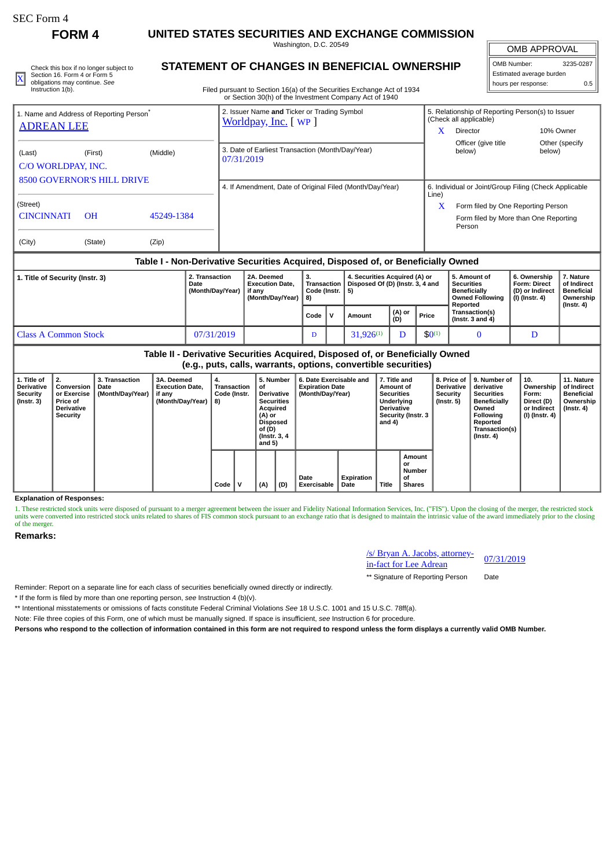**FORM 4 UNITED STATES SECURITIES AND EXCHANGE COMMISSION**

Washington, D.C. 20549

|  | Check this box if no longer subject to | STATEMENT OF CHANGES IN BENEFICIAL OWNERSHIP                           | OMB Number:              | 3235-0287 |
|--|----------------------------------------|------------------------------------------------------------------------|--------------------------|-----------|
|  | Section 16, Form 4 or Form 5           |                                                                        | Estimated average burden |           |
|  | obligations may continue. See          |                                                                        | I hours per response:    |           |
|  | Instruction 1(b).                      | Filed pursuant to Section 16(a) of the Securities Exchange Act of 1934 |                          |           |

## **STATEMENT OF CHANGES IN BENEFICIAL OWNERSHIP**

Filed pursuant to Section 16(a) of the Securities Exchange Act of 1934 or Section 30(h) of the Investment Company Act of 1940

# OMB Number: 3235-0287 Estimated average burden

| 1. Name and Address of Reporting Person <sup>®</sup><br><b>ADREAN LEE</b> |                |            | 2. Issuer Name and Ticker or Trading Symbol<br>Worldpay, Inc. [ WP ] |       | 5. Relationship of Reporting Person(s) to Issuer<br>(Check all applicable) |                           |  |  |  |
|---------------------------------------------------------------------------|----------------|------------|----------------------------------------------------------------------|-------|----------------------------------------------------------------------------|---------------------------|--|--|--|
|                                                                           |                |            |                                                                      |       | Director                                                                   | 10% Owner                 |  |  |  |
| (Last)<br>C/O WORLDPAY, INC.                                              | (First)        | (Middle)   | 3. Date of Earliest Transaction (Month/Day/Year)<br>07/31/2019       |       | Officer (give title<br>below)                                              | Other (specify)<br>below) |  |  |  |
| <b>8500 GOVERNOR'S HILL DRIVE</b>                                         |                |            | 4. If Amendment, Date of Original Filed (Month/Day/Year)             |       | 6. Individual or Joint/Group Filing (Check Applicable                      |                           |  |  |  |
|                                                                           |                |            |                                                                      | Line) |                                                                            |                           |  |  |  |
| (Street)                                                                  |                |            |                                                                      | X     | Form filed by One Reporting Person                                         |                           |  |  |  |
| <b>CINCINNATI</b>                                                         | O <sub>H</sub> | 45249-1384 |                                                                      |       | Form filed by More than One Reporting<br>Person                            |                           |  |  |  |
| (City)                                                                    | (State)        | (Zip)      |                                                                      |       |                                                                            |                           |  |  |  |

### **Table I - Non-Derivative Securities Acquired, Disposed of, or Beneficially Owned**

| 1. Title of Security (Instr. 3) | 2. Transaction<br>Date<br>(Month/Day/Year) | 2A. Deemed<br><b>Execution Date.</b><br>if anv<br>(Month/Dav/Year)   8) | з.<br>Transaction<br>Code (Instr. |  | 4. Securities Acquired (A) or<br>Disposed Of (D) (Instr. 3, 4 and<br>-51 |               |             | l 5. Amount of<br><b>Securities</b><br>Beneficially<br><b>Owned Following</b><br>Reported | 6. Ownership<br><b>Form: Direct</b><br>(D) or Indirect<br>(I) (Instr. 4) | 7. Nature<br>of Indirect<br><b>Beneficial</b><br>Ownership |
|---------------------------------|--------------------------------------------|-------------------------------------------------------------------------|-----------------------------------|--|--------------------------------------------------------------------------|---------------|-------------|-------------------------------------------------------------------------------------------|--------------------------------------------------------------------------|------------------------------------------------------------|
|                                 |                                            |                                                                         | Code                              |  | Amount                                                                   | (A) or<br>(D) | Price       | <b>Transaction(s)</b><br>l (Instr. 3 and 4)                                               |                                                                          | $($ lnstr. 4 $)$                                           |
| <b>Class A Common Stock</b>     | 07/31/2019                                 |                                                                         | D                                 |  | $31.926^{(1)}$                                                           |               | $$0^{(1)}$$ |                                                                                           |                                                                          |                                                            |

**Table II - Derivative Securities Acquired, Disposed of, or Beneficially Owned (e.g., puts, calls, warrants, options, convertible securities)**

| 1. Title of<br><b>Derivative</b><br><b>Security</b><br>$($ Instr. 3 $)$ | 2.<br>Conversion<br>or Exercise<br><b>Price of</b><br><b>Derivative</b><br>Security | 3. Transaction<br>Date<br>(Month/Day/Year) | 3A. Deemed<br><b>Execution Date.</b><br>if any<br>(Month/Day/Year) | 4.<br><b>Transaction</b><br>Code (Instr.<br>8) |  | 5. Number<br>οf<br><b>Derivative</b><br><b>Securities</b><br>Acquired<br>(A) or<br><b>Disposed</b><br>of (D)<br>(Instr. 3, 4)<br>and 5) |      | 6. Date Exercisable and<br><b>Expiration Date</b><br>(Month/Day/Year) |     | 7. Title and<br>Amount of<br><b>Securities</b><br>Underlying<br><b>Derivative</b><br>Security (Instr. 3<br>and 4) |                     | 8. Price of<br><b>Derivative</b><br><b>Security</b><br>$($ Instr. 5 $)$ | 9. Number of<br>derivative<br><b>Securities</b><br><b>Beneficially</b><br>Owned<br><b>Following</b><br>Reported<br>Transaction(s)<br>(Instr. 4) | 10.<br>Ownership<br>Form:<br>Direct (D)<br>or Indirect<br>(I) (Instr. 4) | 11. Nature<br>of Indirect<br><b>Beneficial</b><br>Ownership  <br>$($ Instr. 4 $)$ |  |  |  |
|-------------------------------------------------------------------------|-------------------------------------------------------------------------------------|--------------------------------------------|--------------------------------------------------------------------|------------------------------------------------|--|-----------------------------------------------------------------------------------------------------------------------------------------|------|-----------------------------------------------------------------------|-----|-------------------------------------------------------------------------------------------------------------------|---------------------|-------------------------------------------------------------------------|-------------------------------------------------------------------------------------------------------------------------------------------------|--------------------------------------------------------------------------|-----------------------------------------------------------------------------------|--|--|--|
|                                                                         |                                                                                     |                                            |                                                                    |                                                |  |                                                                                                                                         | Code |                                                                       | (A) | (D)                                                                                                               | Date<br>Exercisable | Expiration<br>Date                                                      | <b>Title</b>                                                                                                                                    | Amount<br>or<br>Number<br>οf<br><b>Shares</b>                            |                                                                                   |  |  |  |

**Explanation of Responses:**

1. These restricted stock units were disposed of pursuant to a merger agreement between the issuer and Fidelity National Information Services, Inc. ("FIS"). Upon the closing of the merger, the restricted stock units were converted into restricted stock units related to shares of FIS common stock pursuant to an exchange ratio that is designed to maintain the intrinsic value of the award immediately prior to the closing of the merger.

**Remarks:**

### /s/ Bryan A. Jacobs, attorney-<u><sup>ISI</sup> Bryan A. Jacobs, attorney-</u> 07/31/2019<br>in-fact for Lee Adrean

\*\* Signature of Reporting Person Date

Reminder: Report on a separate line for each class of securities beneficially owned directly or indirectly.

\* If the form is filed by more than one reporting person, *see* Instruction 4 (b)(v).

\*\* Intentional misstatements or omissions of facts constitute Federal Criminal Violations *See* 18 U.S.C. 1001 and 15 U.S.C. 78ff(a).

Note: File three copies of this Form, one of which must be manually signed. If space is insufficient, *see* Instruction 6 for procedure.

**Persons who respond to the collection of information contained in this form are not required to respond unless the form displays a currently valid OMB Number.**

OMB APPROVAL